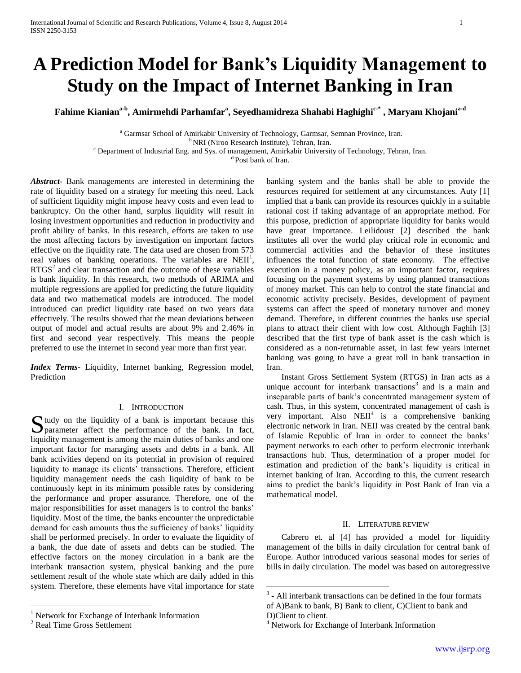# **A Prediction Model for Bank's Liquidity Management to Study on the Impact of Internet Banking in Iran**

**Fahime Kianiana-b , Amirmehdi Parhamfar<sup>a</sup> , Seyedhamidreza Shahabi Haghighic-\* , Maryam Khojania-d**

<sup>a</sup> Garmsar School of Amirkabir University of Technology, Garmsar, Semnan Province, Iran. <sup>b</sup> NRI (Niroo Research Institute), Tehran, Iran.

<sup>c</sup> Department of Industrial Eng. and Sys. of management, Amirkabir University of Technology, Tehran, Iran.

<sup>d</sup> Post bank of Iran.

*Abstract***-** Bank managements are interested in determining the rate of liquidity based on a strategy for meeting this need. Lack of sufficient liquidity might impose heavy costs and even lead to bankruptcy. On the other hand, surplus liquidity will result in losing investment opportunities and reduction in productivity and profit ability of banks. In this research, efforts are taken to use the most affecting factors by investigation on important factors effective on the liquidity rate. The data used are chosen from 573 real values of banking operations. The variables are  $NEII<sup>1</sup>$ ,  $RTGS<sup>2</sup>$  and clear transaction and the outcome of these variables is bank liquidity. In this research, two methods of ARIMA and multiple regressions are applied for predicting the future liquidity data and two mathematical models are introduced. The model introduced can predict liquidity rate based on two years data effectively. The results showed that the mean deviations between output of model and actual results are about 9% and 2.46% in first and second year respectively. This means the people preferred to use the internet in second year more than first year.

*Index Terms*- Liquidity, Internet banking, Regression model, Prediction

## I. INTRODUCTION

Sudy on the liquidity of a bank is important because this parameter affect the performance of the bank. In fact, **D** parameter affect the performance of the bank. In fact, liquidity management is among the main duties of banks and one important factor for managing assets and debts in a bank. All bank activities depend on its potential in provision of required liquidity to manage its clients' transactions. Therefore, efficient liquidity management needs the cash liquidity of bank to be continuously kept in its minimum possible rates by considering the performance and proper assurance. Therefore, one of the major responsibilities for asset managers is to control the banks' liquidity. Most of the time, the banks encounter the unpredictable demand for cash amounts thus the sufficiency of banks' liquidity shall be performed precisely. In order to evaluate the liquidity of a bank, the due date of assets and debts can be studied. The effective factors on the money circulation in a bank are the interbank transaction system, physical banking and the pure settlement result of the whole state which are daily added in this system. Therefore, these elements have vital importance for state

 $\overline{a}$ 

banking system and the banks shall be able to provide the resources required for settlement at any circumstances. Auty [1] implied that a bank can provide its resources quickly in a suitable rational cost if taking advantage of an appropriate method. For this purpose, prediction of appropriate liquidity for banks would have great importance. Leilidoust [2] described the bank institutes all over the world play critical role in economic and commercial activities and the behavior of these institutes influences the total function of state economy. The effective execution in a money policy, as an important factor, requires focusing on the payment systems by using planned transactions of money market. This can help to control the state financial and economic activity precisely. Besides, development of payment systems can affect the speed of monetary turnover and money demand. Therefore, in different countries the banks use special plans to attract their client with low cost. Although Faghih [3] described that the first type of bank asset is the cash which is considered as a non-returnable asset, in last few years internet banking was going to have a great roll in bank transaction in Iran.

 Instant Gross Settlement System (RTGS) in Iran acts as a unique account for interbank transactions<sup>3</sup> and is a main and inseparable parts of bank's concentrated management system of cash. Thus, in this system, concentrated management of cash is very important. Also  $NEII<sup>4</sup>$  is a comprehensive banking electronic network in Iran. NEII was created by the central bank of Islamic Republic of Iran in order to connect the banks' payment networks to each other to perform electronic interbank transactions hub. Thus, determination of a proper model for estimation and prediction of the bank's liquidity is critical in internet banking of Iran. According to this, the current research aims to predict the bank's liquidity in Post Bank of Iran via a mathematical model.

## II. LITERATURE REVIEW

 Cabrero et. al [4] has provided a model for liquidity management of the bills in daily circulation for central bank of Europe. Author introduced various seasonal modes for series of bills in daily circulation. The model was based on autoregressive

 $\overline{a}$ 

<sup>&</sup>lt;sup>1</sup> Network for Exchange of Interbank Information

<sup>2</sup> Real Time Gross Settlement

<sup>&</sup>lt;sup>3</sup> - All interbank transactions can be defined in the four formats of A)Bank to bank, B) Bank to client, C)Client to bank and D)Client to client.

<sup>&</sup>lt;sup>4</sup> Network for Exchange of Interbank Information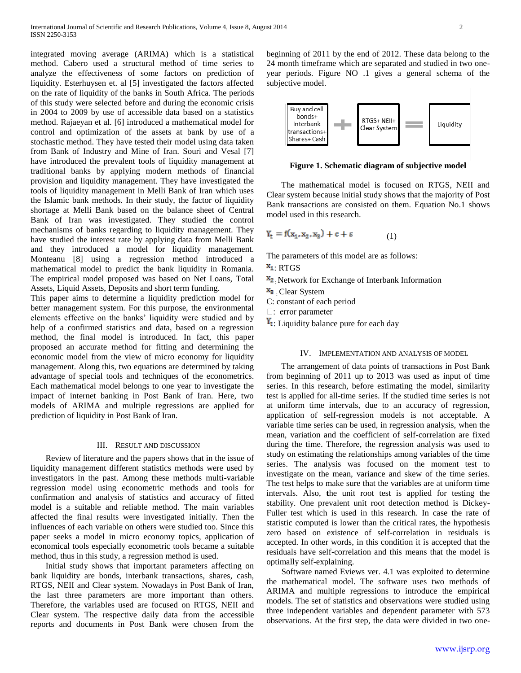integrated moving average (ARIMA) which is a statistical method. Cabero used a structural method of time series to analyze the effectiveness of some factors on prediction of liquidity. Esterhuysen et. al [5] investigated the factors affected on the rate of liquidity of the banks in South Africa. The periods of this study were selected before and during the economic crisis in 2004 to 2009 by use of accessible data based on a statistics method. Rajaeyan et al. [6] introduced a mathematical model for control and optimization of the assets at bank by use of a stochastic method. They have tested their model using data taken from Bank of Industry and Mine of Iran. Souri and Vesal [7] have introduced the prevalent tools of liquidity management at traditional banks by applying modern methods of financial provision and liquidity management. They have investigated the tools of liquidity management in Melli Bank of Iran which uses the Islamic bank methods. In their study, the factor of liquidity shortage at Melli Bank based on the balance sheet of Central Bank of Iran was investigated. They studied the control mechanisms of banks regarding to liquidity management. They have studied the interest rate by applying data from Melli Bank and they introduced a model for liquidity management. Monteanu [8] using a regression method introduced a mathematical model to predict the bank liquidity in Romania. The empirical model proposed was based on Net Loans, Total Assets, Liquid Assets, Deposits and short term funding.

This paper aims to determine a liquidity prediction model for better management system. For this purpose, the environmental elements effective on the banks' liquidity were studied and by help of a confirmed statistics and data, based on a regression method, the final model is introduced. In fact, this paper proposed an accurate method for fitting and determining the economic model from the view of micro economy for liquidity management. Along this, two equations are determined by taking advantage of special tools and techniques of the econometrics. Each mathematical model belongs to one year to investigate the impact of internet banking in Post Bank of Iran. Here, two models of ARIMA and multiple regressions are applied for prediction of liquidity in Post Bank of Iran.

### III. RESULT AND DISCUSSION

 Review of literature and the papers shows that in the issue of liquidity management different statistics methods were used by investigators in the past. Among these methods multi-variable regression model using econometric methods and tools for confirmation and analysis of statistics and accuracy of fitted model is a suitable and reliable method. The main variables affected the final results were investigated initially. Then the influences of each variable on others were studied too. Since this paper seeks a model in micro economy topics, application of economical tools especially econometric tools became a suitable method, thus in this study, a regression method is used.

 Initial study shows that important parameters affecting on bank liquidity are bonds, interbank transactions, shares, cash, RTGS, NEII and Clear system. Nowadays in Post Bank of Iran, the last three parameters are more important than others. Therefore, the variables used are focused on RTGS, NEII and Clear system. The respective daily data from the accessible reports and documents in Post Bank were chosen from the

beginning of 2011 by the end of 2012. These data belong to the 24 month timeframe which are separated and studied in two oneyear periods. Figure NO .1 gives a general schema of the subjective model.



**Figure 1. Schematic diagram of subjective model**

 The mathematical model is focused on RTGS, NEII and Clear system because initial study shows that the majority of Post Bank transactions are consisted on them. Equation No.1 shows model used in this research.

$$
Y_t = f(x_1, x_2, x_3) + c + \varepsilon \tag{1}
$$

The parameters of this model are as follows:

 $X_1$ : RTGS

 $x_2$ . Network for Exchange of Interbank Information

 $x_3$ . Clear System

C: constant of each period

 $\Box$ : error parameter

 $Y_t$ : Liquidity balance pure for each day

#### IV. IMPLEMENTATION AND ANALYSIS OF MODEL

 The arrangement of data points of transactions in Post Bank from beginning of 2011 up to 2013 was used as input of time series. In this research, before estimating the model, similarity test is applied for all-time series. If the studied time series is not at uniform time intervals, due to an accuracy of regression, application of self-regression models is not acceptable. A variable time series can be used, in regression analysis, when the mean, variation and the coefficient of self-correlation are fixed during the time. Therefore, the regression analysis was used to study on estimating the relationships among variables of the time series. The analysis was focused on the moment test to investigate on the mean, variance and skew of the time series. The test helps to make sure that the variables are at uniform time intervals. Also, **t**he unit root test is applied for testing the stability. One prevalent unit root detection method is Dickey-Fuller test which is used in this research. In case the rate of statistic computed is lower than the critical rates, the hypothesis zero based on existence of self-correlation in residuals is accepted. In other words, in this condition it is accepted that the residuals have self-correlation and this means that the model is optimally self-explaining.

 Software named Eviews ver. 4.1 was exploited to determine the mathematical model. The software uses two methods of ARIMA and multiple regressions to introduce the empirical models. The set of statistics and observations were studied using three independent variables and dependent parameter with 573 observations. At the first step, the data were divided in two one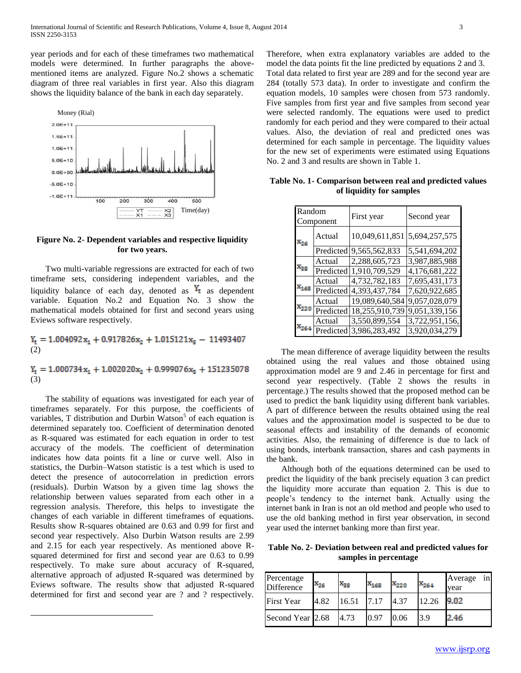year periods and for each of these timeframes two mathematical models were determined. In further paragraphs the abovementioned items are analyzed. Figure No.2 shows a schematic diagram of three real variables in first year. Also this diagram shows the liquidity balance of the bank in each day separately.



## **Figure No. 2- Dependent variables and respective liquidity for two years.**

 Two multi-variable regressions are extracted for each of two timeframe sets, considering independent variables, and the liquidity balance of each day, denoted as  $Y_t$  as dependent variable. Equation No.2 and Equation No. 3 show the mathematical models obtained for first and second years using Eviews software respectively.

 $Y_t = 1.004092 x_1 + 0.917826 x_2 + 1.015121 x_3 - 11493407$ (2)

(3)

 The stability of equations was investigated for each year of timeframes separately. For this purpose, the coefficients of variables, T distribution and Durbin Watson<sup>5</sup> of each equation is determined separately too. Coefficient of determination denoted as R-squared was estimated for each equation in order to test accuracy of the models. The coefficient of determination indicates how data points fit a line or curve well. Also in statistics, the Durbin–Watson statistic is a test which is used to detect the presence of autocorrelation in prediction errors (residuals). Durbin Watson by a given time lag shows the relationship between values separated from each other in a regression analysis. Therefore, this helps to investigate the changes of each variable in different timeframes of equations. Results show R-squares obtained are 0.63 and 0.99 for first and second year respectively. Also Durbin Watson results are 2.99 and 2.15 for each year respectively. As mentioned above Rsquared determined for first and second year are 0.63 to 0.99 respectively. To make sure about accuracy of R-squared, alternative approach of adjusted R-squared was determined by Eviews software. The results show that adjusted R-squared determined for first and second year are ? and ? respectively.

 $\overline{a}$ 

Therefore, when extra explanatory variables are added to the model the data points fit the line predicted by equations 2 and 3. Total data related to first year are 289 and for the second year are 284 (totally 573 data). In order to investigate and confirm the equation models, 10 samples were chosen from 573 randomly. Five samples from first year and five samples from second year were selected randomly. The equations were used to predict randomly for each period and they were compared to their actual values. Also, the deviation of real and predicted ones was determined for each sample in percentage. The liquidity values for the new set of experiments were estimated using Equations No. 2 and 3 and results are shown in Table 1.

**Table No. 1- Comparison between real and predicted values of liquidity for samples**

| Random<br>Component |           | First year     | Second year    |  |  |  |  |  |
|---------------------|-----------|----------------|----------------|--|--|--|--|--|
| $x_{26}$            | Actual    | 10,049,611,851 | 5,694,257,575  |  |  |  |  |  |
|                     | Predicted | 9,565,562,833  | 5,541,694,202  |  |  |  |  |  |
| $\mathbf{x}_{33}$   | Actual    | 2,288,605,723  | 3,987,885,988  |  |  |  |  |  |
|                     | Predicted | 1,910,709,529  | 4,176,681,222  |  |  |  |  |  |
| $\mathbf{x}_{169}$  | Actual    | 4,732,782,183  | 7,695,431,173  |  |  |  |  |  |
|                     | Predicted | 4,393,437,784  | 7,620,922,685  |  |  |  |  |  |
| $x_{220}$           | Actual    | 19.089.640.584 | 9,057,028,079  |  |  |  |  |  |
|                     | Predicted | 18,255,910,739 | 9,051,339,156  |  |  |  |  |  |
| $x_{264}$           | Actual    | 3,550,899,554  | 3,722,951,156, |  |  |  |  |  |
|                     | Predicted | 3,986,283,492  | 3,920,034,279  |  |  |  |  |  |

 The mean difference of average liquidity between the results obtained using the real values and those obtained using approximation model are 9 and 2.46 in percentage for first and second year respectively. (Table 2 shows the results in percentage.) The results showed that the proposed method can be used to predict the bank liquidity using different bank variables. A part of difference between the results obtained using the real values and the approximation model is suspected to be due to seasonal effects and instability of the demands of economic activities. Also, the remaining of difference is due to lack of using bonds, interbank transaction, shares and cash payments in the bank.

 Although both of the equations determined can be used to predict the liquidity of the bank precisely equation 3 can predict the liquidity more accurate than equation 2. This is due to people's tendency to the internet bank. Actually using the internet bank in Iran is not an old method and people who used to use the old banking method in first year observation, in second year used the internet banking more than first year.

**Table No. 2- Deviation between real and predicted values for samples in percentage**

| Percentage<br>Difference | $x_{26}$ | $\mathbf{x}_{\mathtt{32}}$ | $x_{168}$ | $x_{220}$ | $x_{264}$ | Average in<br>year |
|--------------------------|----------|----------------------------|-----------|-----------|-----------|--------------------|
| <b>First Year</b>        | 4.82     | 16.51                      | 7.17      | 4.37      | 12.26     | 9.02               |
| Second Year 2.68         |          | 4.73                       | 0.97      | 0.06      | 3.9       | 2.46               |